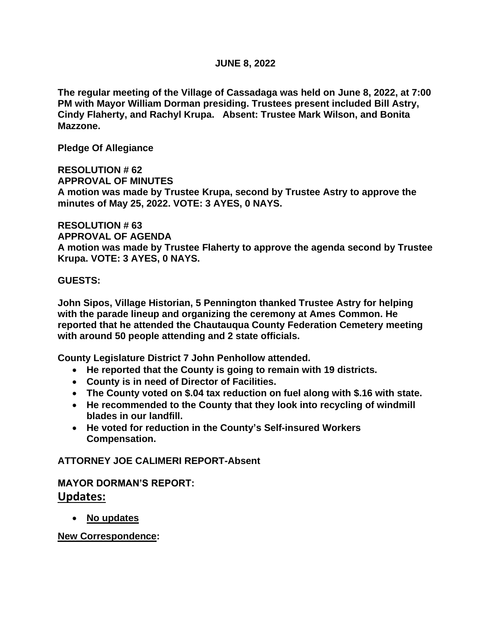#### **JUNE 8, 2022**

**The regular meeting of the Village of Cassadaga was held on June 8, 2022, at 7:00 PM with Mayor William Dorman presiding. Trustees present included Bill Astry, Cindy Flaherty, and Rachyl Krupa. Absent: Trustee Mark Wilson, and Bonita Mazzone.**

**Pledge Of Allegiance**

**RESOLUTION # 62 APPROVAL OF MINUTES A motion was made by Trustee Krupa, second by Trustee Astry to approve the minutes of May 25, 2022. VOTE: 3 AYES, 0 NAYS.**

#### **RESOLUTION # 63**

**APPROVAL OF AGENDA A motion was made by Trustee Flaherty to approve the agenda second by Trustee Krupa. VOTE: 3 AYES, 0 NAYS.**

#### **GUESTS:**

**John Sipos, Village Historian, 5 Pennington thanked Trustee Astry for helping with the parade lineup and organizing the ceremony at Ames Common. He reported that he attended the Chautauqua County Federation Cemetery meeting with around 50 people attending and 2 state officials.**

**County Legislature District 7 John Penhollow attended.** 

- **He reported that the County is going to remain with 19 districts.**
- **County is in need of Director of Facilities.**
- **The County voted on \$.04 tax reduction on fuel along with \$.16 with state.**
- **He recommended to the County that they look into recycling of windmill blades in our landfill.**
- **He voted for reduction in the County's Self-insured Workers Compensation.**

# **ATTORNEY JOE CALIMERI REPORT-Absent**

# **MAYOR DORMAN'S REPORT: Updates:**

• **No updates**

**New Correspondence:**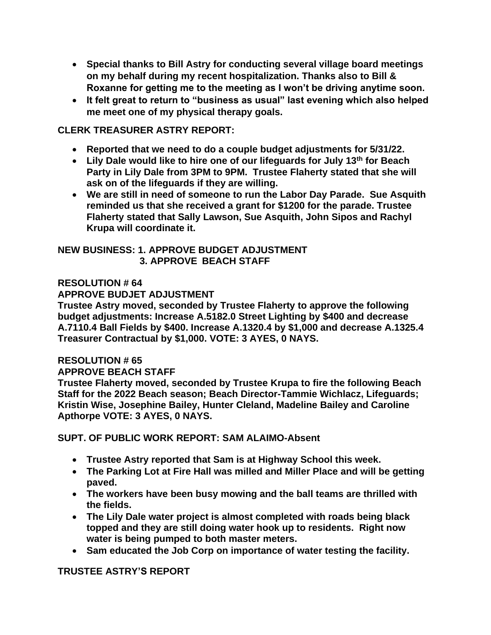- **Special thanks to Bill Astry for conducting several village board meetings on my behalf during my recent hospitalization. Thanks also to Bill & Roxanne for getting me to the meeting as I won't be driving anytime soon.**
- **It felt great to return to "business as usual" last evening which also helped me meet one of my physical therapy goals.**

## **CLERK TREASURER ASTRY REPORT:**

- **Reported that we need to do a couple budget adjustments for 5/31/22.**
- **Lily Dale would like to hire one of our lifeguards for July 13th for Beach Party in Lily Dale from 3PM to 9PM. Trustee Flaherty stated that she will ask on of the lifeguards if they are willing.**
- **We are still in need of someone to run the Labor Day Parade. Sue Asquith reminded us that she received a grant for \$1200 for the parade. Trustee Flaherty stated that Sally Lawson, Sue Asquith, John Sipos and Rachyl Krupa will coordinate it.**

## **NEW BUSINESS: 1. APPROVE BUDGET ADJUSTMENT 3. APPROVE BEACH STAFF**

#### **RESOLUTION # 64**

## **APPROVE BUDJET ADJUSTMENT**

**Trustee Astry moved, seconded by Trustee Flaherty to approve the following budget adjustments: Increase A.5182.0 Street Lighting by \$400 and decrease A.7110.4 Ball Fields by \$400. Increase A.1320.4 by \$1,000 and decrease A.1325.4 Treasurer Contractual by \$1,000. VOTE: 3 AYES, 0 NAYS.**

#### **RESOLUTION # 65**

#### **APPROVE BEACH STAFF**

**Trustee Flaherty moved, seconded by Trustee Krupa to fire the following Beach Staff for the 2022 Beach season; Beach Director-Tammie Wichlacz, Lifeguards; Kristin Wise, Josephine Bailey, Hunter Cleland, Madeline Bailey and Caroline Apthorpe VOTE: 3 AYES, 0 NAYS.**

**SUPT. OF PUBLIC WORK REPORT: SAM ALAIMO-Absent**

- **Trustee Astry reported that Sam is at Highway School this week.**
- **The Parking Lot at Fire Hall was milled and Miller Place and will be getting paved.**
- **The workers have been busy mowing and the ball teams are thrilled with the fields.**
- **The Lily Dale water project is almost completed with roads being black topped and they are still doing water hook up to residents. Right now water is being pumped to both master meters.**
- **Sam educated the Job Corp on importance of water testing the facility.**

## **TRUSTEE ASTRY'S REPORT**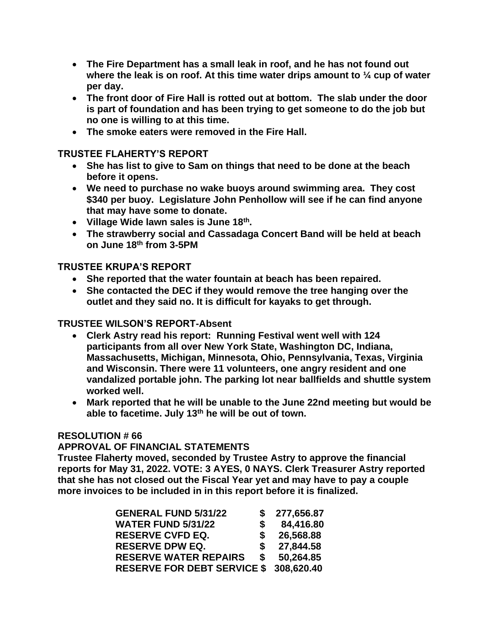- **The Fire Department has a small leak in roof, and he has not found out where the leak is on roof. At this time water drips amount to ¼ cup of water per day.**
- **The front door of Fire Hall is rotted out at bottom. The slab under the door is part of foundation and has been trying to get someone to do the job but no one is willing to at this time.**
- **The smoke eaters were removed in the Fire Hall.**

## **TRUSTEE FLAHERTY'S REPORT**

- **She has list to give to Sam on things that need to be done at the beach before it opens.**
- **We need to purchase no wake buoys around swimming area. They cost \$340 per buoy. Legislature John Penhollow will see if he can find anyone that may have some to donate.**
- **Village Wide lawn sales is June 18th .**
- **The strawberry social and Cassadaga Concert Band will be held at beach on June 18th from 3-5PM**

#### **TRUSTEE KRUPA'S REPORT**

- **She reported that the water fountain at beach has been repaired.**
- **She contacted the DEC if they would remove the tree hanging over the outlet and they said no. It is difficult for kayaks to get through.**

#### **TRUSTEE WILSON'S REPORT-Absent**

- **Clerk Astry read his report: Running Festival went well with 124 participants from all over New York State, Washington DC, Indiana, Massachusetts, Michigan, Minnesota, Ohio, Pennsylvania, Texas, Virginia and Wisconsin. There were 11 volunteers, one angry resident and one vandalized portable john. The parking lot near ballfields and shuttle system worked well.**
- **Mark reported that he will be unable to the June 22nd meeting but would be able to facetime. July 13th he will be out of town.**

# **RESOLUTION # 66**

#### **APPROVAL OF FINANCIAL STATEMENTS**

**Trustee Flaherty moved, seconded by Trustee Astry to approve the financial reports for May 31, 2022. VOTE: 3 AYES, 0 NAYS. Clerk Treasurer Astry reported that she has not closed out the Fiscal Year yet and may have to pay a couple more invoices to be included in in this report before it is finalized.** 

| <b>GENERAL FUND 5/31/22</b>            |    | 277,656.87 |
|----------------------------------------|----|------------|
| <b>WATER FUND 5/31/22</b>              | S. | 84,416.80  |
| <b>RESERVE CVFD EQ.</b>                | S. | 26,568.88  |
| <b>RESERVE DPW EQ.</b>                 | S  | 27,844.58  |
| <b>RESERVE WATER REPAIRS</b>           | S. | 50,264.85  |
| RESERVE FOR DEBT SERVICE \$ 308,620.40 |    |            |